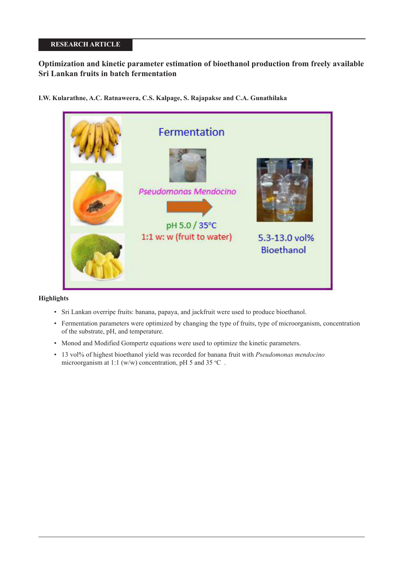# **RESEARCH ARTICLE**

# **Optimization and kinetic parameter estimation of bioethanol production from freely available Sri Lankan fruits in batch fermentation**

**I.W. Kularathne, A.C. Ratnaweera, C.S. Kalpage, S. Rajapakse and C.A. Gunathilaka**



# **Highlights**

- Sri Lankan overripe fruits: banana, papaya, and jackfruit were used to produce bioethanol.
- Fermentation parameters were optimized by changing the type of fruits, type of microorganism, concentration of the substrate, pH, and temperature.
- Monod and Modified Gompertz equations were used to optimize the kinetic parameters.
- 13 vol% of highest bioethanol yield was recorded for banana fruit with *Pseudomonas mendocino* microorganism at 1:1 (w/w) concentration, pH 5 and 35 °C.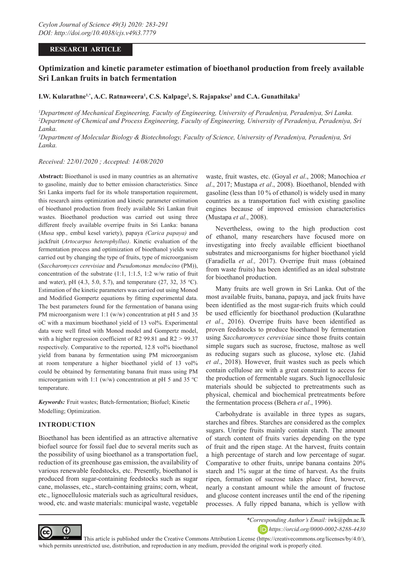# **RESEARCH ARTICLE**

# **Optimization and kinetic parameter estimation of bioethanol production from freely available Sri Lankan fruits in batch fermentation**

### **I.W. Kularathne1,\*, A.C. Ratnaweera1 , C.S. Kalpage2 , S. Rajapakse3 and C.A. Gunathilaka2**

<sup>1</sup>Department of Mechanical Engineering, Faculty of Engineering, University of Peradeniya, Peradeniya, Sri Lanka. *2 Department of Chemical and Process Engineering, Faculty of Engineering, University of Peradeniya, Peradeniya, Sri Lanka.*

*3 Department of Molecular Biology & Biotechnology, Faculty of Science, University of Peradeniya, Peradeniya, Sri Lanka.*

*Received: 22/01/2020 ; Accepted: 14/08/2020*

**Abstract:** Bioethanol is used in many countries as an alternative to gasoline, mainly due to better emission characteristics. Since Sri Lanka imports fuel for its whole transportation requirement, this research aims optimization and kinetic parameter estimation of bioethanol production from freely available Sri Lankan fruit wastes. Bioethanol production was carried out using three different freely available overripe fruits in Sri Lanka: banana (*Musa* spp*.,* embul kesel variety), papaya *(Carica papaya)* and jackfruit (*Artocarpus heterophyllus)*. Kinetic evaluation of the fermentation process and optimization of bioethanol yields were carried out by changing the type of fruits, type of microorganism (*Saccharomyces cerevisiae* and *Pseudomonas mendocino* (PM)), concentration of the substrate (1:1, 1:1.5, 1:2 w/w ratio of fruit and water), pH  $(4.3, 5.0, 5.7)$ , and temperature  $(27, 32, 35 \text{ °C})$ . Estimation of the kinetic parameters was carried out using Monod and Modified Gompertz equations by fitting experimental data. The best parameters found for the fermentation of banana using PM microorganism were 1:1 (w/w) concentration at pH 5 and 35 oC with a maximum bioethanol yield of 13 vol%. Experimental data were well fitted with Monod model and Gompertz model, with a higher regression coefficient of R2 99.81 and R2 > 99.37 respectively. Comparative to the reported, 12.8 vol% bioethanol yield from banana by fermentation using PM microorganism at room temperature a higher bioethanol yield of 13 vol% could be obtained by fermentating banana fruit mass using PM microorganism with 1:1 (w/w) concentration at pH 5 and 35  $^{\circ}$ C temperature.

*Keywords:* Fruit wastes; Batch-fermentation; Biofuel; Kinetic Modelling; Optimization.

# **INTRODUCTION**

Bioethanol has been identified as an attractive alternative biofuel source for fossil fuel due to several merits such as the possibility of using bioethanol as a transportation fuel, reduction of its greenhouse gas emission, the availability of various renewable feedstocks, etc. Presently, bioethanol is produced from sugar-containing feedstocks such as sugar cane, molasses, etc., starch-containing grains; corn, wheat, etc., lignocellulosic materials such as agricultural residues, wood, etc. and waste materials: municipal waste, vegetable

waste, fruit wastes, etc. (Goyal *et al*., 2008; Manochioa *et al*., 2017; Mustapa *et al*., 2008). Bioethanol, blended with gasoline (less than 10 % of ethanol) is widely used in many countries as a transportation fuel with existing gasoline engines because of improved emission characteristics (Mustapa *et al*., 2008).

Nevertheless, owing to the high production cost of ethanol, many researchers have focused more on investigating into freely available efficient bioethanol substrates and microorganisms for higher bioethanol yield (Faradiella *et al.,* 2017). Overripe fruit mass (obtained from waste fruits) has been identified as an ideal substrate for bioethanol production.

Many fruits are well grown in Sri Lanka. Out of the most available fruits, banana, papaya, and jack fruits have been identified as the most sugar-rich fruits which could be used efficiently for bioethanol production (Kularathne *et al*., 2016). Overripe fruits have been identified as proven feedstocks to produce bioethanol by fermentation using *Saccharomyces cerevisiae* since those fruits contain simple sugars such as sucrose, fructose, maltose as well as reducing sugars such as glucose, xylose etc. (Jahid *et al*., 2018). However, fruit wastes such as peels which contain cellulose are with a great constraint to access for the production of fermentable sugars. Such lignocellulosic materials should be subjected to pretreatments such as physical, chemical and biochemical pretreatments before the fermentation process (Behera *et al*., 1996).

Carbohydrate is available in three types as sugars, starches and fibres. Starches are considered as the complex sugars. Unripe fruits mainly contain starch. The amount of starch content of fruits varies depending on the type of fruit and the ripen stage. At the harvest, fruits contain a high percentage of starch and low percentage of sugar. Comparative to other fruits, unripe banana contains 20% starch and 1% sugar at the time of harvest. As the fruits ripen, formation of sucrose takes place first, however, nearly a constant amount while the amount of fructose and glucose content increases until the end of the ripening processes. A fully ripped banana, which is yellow with



*\*Corresponding Author's Email:* iwk@pdn.ac.lk *https://orcid.org/0000-0002-8288-4430*

 This article is published under the Creative Commons Attribution License (https://creativecommons.org/licenses/by/4.0/), which permits unrestricted use, distribution, and reproduction in any medium, provided the original work is properly cited.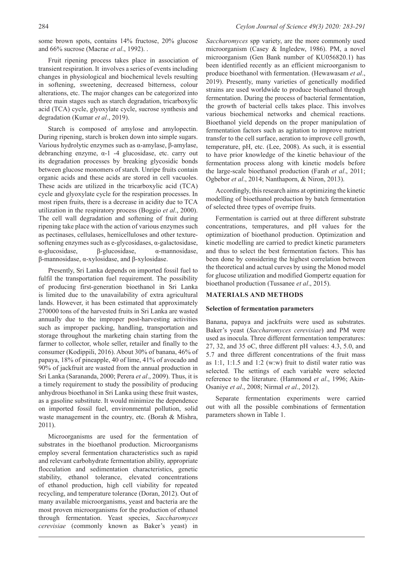some brown spots, contains 14% fructose, 20% glucose and 66% sucrose (Macrae *et al*., 1992). .

Fruit ripening process takes place in association of transient respiration. It involves a series of events including changes in physiological and biochemical levels resulting in softening, sweetening, decreased bitterness, colour alterations, etc. The major changes can be categorized into three main stages such as starch degradation, tricarboxylic acid (TCA) cycle, glyoxylate cycle, sucrose synthesis and degradation (Kumar *et al*., 2019).

Starch is composed of amylose and amylopectin. During ripening, starch is broken down into simple sugars. Various hydrolytic enzymes such as α-amylase, β-amylase, debranching enzyme, α-1 -4 glucosidase, etc. carry out its degradation processes by breaking glycosidic bonds between glucose monomers of starch. Unripe fruits contain organic acids and these acids are stored in cell vacuoles. These acids are utilized in the tricarboxylic acid (TCA) cycle and glyoxylate cycle for the respiration processes. In most ripen fruits, there is a decrease in acidity due to TCA utilization in the respiratory process (Boggio *et al*., 2000). The cell wall degradation and softening of fruit during ripening take place with the action of various enzymes such as pectinases, cellulases, hemicelluloses and other texturesoftening enzymes such as e-glycosidases, α-galactosidase, α-glucosidase, β-glucosidase, α-mannosidase, β-mannosidase, α-xylosidase, and β-xylosidase.

Presently, Sri Lanka depends on imported fossil fuel to fulfil the transportation fuel requirement. The possibility of producing first-generation bioethanol in Sri Lanka is limited due to the unavailability of extra agricultural lands. However, it has been estimated that approximately 270000 tons of the harvested fruits in Sri Lanka are wasted annually due to the improper post-harvesting activities such as improper packing, handling, transportation and storage throughout the marketing chain starting from the farmer to collector, whole seller, retailer and finally to the consumer (Kodippili, 2016). About 30% of banana, 46% of papaya, 18% of pineapple, 40 of lime, 41% of avocado and 90% of jackfruit are wasted from the annual production in Sri Lanka (Sarananda, 2000; Perera *et al*., 2009). Thus, it is a timely requirement to study the possibility of producing anhydrous bioethanol in Sri Lanka using these fruit wastes, as a gasoline substitute. It would minimize the dependence on imported fossil fuel, environmental pollution, solid waste management in the country, etc. (Borah & Mishra, 2011).

Microorganisms are used for the fermentation of substrates in the bioethanol production. Microorganisms employ several fermentation characteristics such as rapid and relevant carbohydrate fermentation ability, appropriate flocculation and sedimentation characteristics, genetic stability, ethanol tolerance, elevated concentrations of ethanol production, high cell viability for repeated recycling, and temperature tolerance (Doran, 2012). Out of many available microorganisms, yeast and bacteria are the most proven microorganisms for the production of ethanol through fermentation. Yeast species, *Saccharomyces cerevisiae* (commonly known as Baker's yeast) in

*Saccharomyces* spp variety, are the more commonly used microorganism (Casey & Ingledew, 1986). PM, a novel microorganism (Gen Bank number of KU056820.1) has been identified recently as an efficient microorganism to produce bioethanol with fermentation. (Hewawasam *et al*., 2019). Presently, many varieties of genetically modified strains are used worldwide to produce bioethanol through fermentation. During the process of bacterial fermentation, the growth of bacterial cells takes place. This involves various biochemical networks and chemical reactions. Bioethanol yield depends on the proper manipulation of fermentation factors such as agitation to improve nutrient transfer to the cell surface, aeration to improve cell growth, temperature, pH, etc. (Lee, 2008). As such, it is essential to have prior knowledge of the kinetic behaviour of the fermentation process along with kinetic models before the large-scale bioethanol production (Farah *et al*., 2011; Ogbebor *et al*., 2014; Nanthaporn, & Niron, 2013).

Accordingly, this research aims at optimizing the kinetic modelling of bioethanol production by batch fermentation of selected three types of overripe fruits.

Fermentation is carried out at three different substrate concentrations, temperatures, and pH values for the optimization of bioethanol production. Optimization and kinetic modelling are carried to predict kinetic parameters and thus to select the best fermentation factors. This has been done by considering the highest correlation between the theoretical and actual curves by using the Monod model for glucose utilization and modified Gompertz equation for bioethanol production (Tussanee *et al*., 2015).

## **MATERIALS AND METHODS**

### **Selection of fermentation parameters**

Banana, papaya and jackfruits were used as substrates. Baker's yeast (*Saccharomyces cerevisiae*) and PM were used as inocula. Three different fermentation temperatures: 27, 32, and 35 oC, three different pH values: 4.3, 5.0, and 5.7 and three different concentrations of the fruit mass as 1:1, 1:1.5 and 1:2 (w:w) fruit to distil water ratio was selected. The settings of each variable were selected reference to the literature. (Hammond *et al*., 1996; Akin-Osaniye *et al*., 2008; Nirmal *et al*., 2012).

Separate fermentation experiments were carried out with all the possible combinations of fermentation parameters shown in Table 1.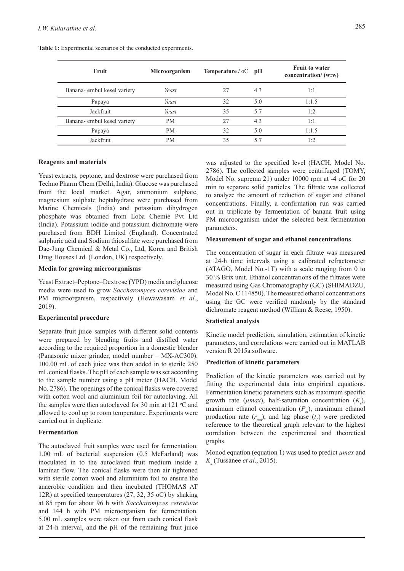| Fruit                       | Microorganism | <b>Temperature</b> / $\circ$ C pH |     | <b>Fruit to water</b><br>concentration/ $(w:w)$ |
|-----------------------------|---------------|-----------------------------------|-----|-------------------------------------------------|
| Banana- embul kesel variety | Yeast         | 27                                | 4.3 | 1:1                                             |
| Papaya                      | Yeast         | 32                                | 5.0 | 1:1.5                                           |
| Jackfruit                   | Yeast         | 35                                | 5.7 | 1:2                                             |
| Banana- embul kesel variety | <b>PM</b>     | 27                                | 4.3 | 1:1                                             |
| Papaya                      | <b>PM</b>     | 32                                | 5.0 | 1:1.5                                           |
| Jackfruit                   | <b>PM</b>     | 35                                | 5.7 | 1:2                                             |

**Table 1:** Experimental scenarios of the conducted experiments.

### **Reagents and materials**

Yeast extracts, peptone, and dextrose were purchased from Techno Pharm Chem (Delhi, India). Glucose was purchased from the local market. Agar, ammonium sulphate, magnesium sulphate heptahydrate were purchased from Marine Chemicals (India) and potassium dihydrogen phosphate was obtained from Loba Chemie Pvt Ltd (India). Potassium iodide and potassium dichromate were purchased from BDH Limited (England). Concentrated sulphuric acid and Sodium thiosulfate were purchased from Dae-Jung Chemical & Metal Co., Ltd, Korea and British Drug Houses Ltd. (London, UK) respectively.

# **Media for growing microorganisms**

Yeast Extract–Peptone–Dextrose **(**YPD) media and glucose media were used to grow *Saccharomyces cerevisiae* and PM microorganism, respectively (Hewawasam *et al*., 2019).

## **Experimental procedure**

Separate fruit juice samples with different solid contents were prepared by blending fruits and distilled water according to the required proportion in a domestic blender (Panasonic mixer grinder, model number – MX-AC300). 100.00 mL of each juice was then added in to sterile 250 mL conical flasks. The pH of each sample was set according to the sample number using a pH meter (HACH, Model No. 2786). The openings of the conical flasks were covered with cotton wool and aluminium foil for autoclaving. All the samples were then autoclaved for 30 min at 121  $\,^{\circ}$ C and allowed to cool up to room temperature. Experiments were carried out in duplicate.

### **Fermentation**

The autoclaved fruit samples were used for fermentation. 1.00 mL of bacterial suspension (0.5 McFarland) was inoculated in to the autoclaved fruit medium inside a laminar flow. The conical flasks were then air tightened with sterile cotton wool and aluminium foil to ensure the anaerobic condition and then incubated (THOMAS AT 12R) at specified temperatures (27, 32, 35 oC) by shaking at 85 rpm for about 96 h with *Saccharomyces cerevisiae* and 144 h with PM microorganism for fermentation. 5.00 mL samples were taken out from each conical flask at 24-h interval, and the pH of the remaining fruit juice

was adjusted to the specified level (HACH, Model No. 2786). The collected samples were centrifuged (TOMY, Model No. suprema 21) under 10000 rpm at -4 oC for 20 min to separate solid particles. The filtrate was collected to analyze the amount of reduction of sugar and ethanol concentrations. Finally, a confirmation run was carried out in triplicate by fermentation of banana fruit using PM microorganism under the selected best fermentation parameters.

#### **Measurement of sugar and ethanol concentrations**

The concentration of sugar in each filtrate was measured at 24-h time intervals using a calibrated refractometer (ATAGO, Model No.-1T) with a scale ranging from 0 to 30 % Brix unit. Ethanol concentrations of the filtrates were measured using Gas Chromatography (GC) (SHIMADZU, Model No. C 114850). The measured ethanol concentrations using the GC were verified randomly by the standard dichromate reagent method (William & Reese, 1950).

#### **Statistical analysis**

Kinetic model prediction, simulation, estimation of kinetic parameters, and correlations were carried out in MATLAB version R 2015a software.

### **Prediction of kinetic parameters**

Prediction of the kinetic parameters was carried out by fitting the experimental data into empirical equations. Fermentation kinetic parameters such as maximum specific growth rate ( $\mu$ *max*), half-saturation concentration ( $K_s$ ), maximum ethanol concentration (P<sub>m</sub>), maximum ethanol production rate  $(r_{pm})$ , and lag phase  $(t_L)$  were predicted reference to the theoretical graph relevant to the highest correlation between the experimental and theoretical graphs.

Monod equation (equation 1) was used to predict *µmax* and *K*<sub>1</sub> (Tussanee *et al.*, 2015).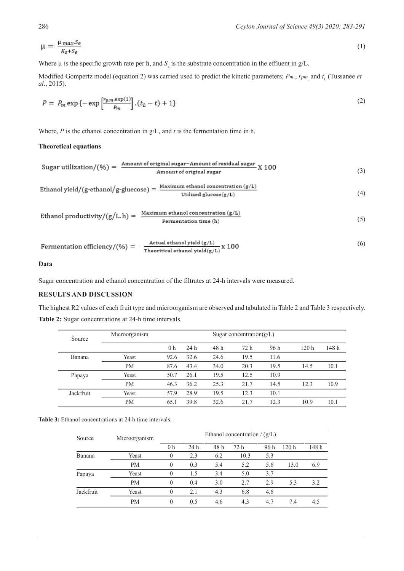$$
\mu = \frac{\mu_{max} S_e}{K_s + S_e} \tag{1}
$$

Where  $\mu$  is the specific growth rate per h, and  $S_e$  is the substrate concentration in the effluent in g/L.

Modified Gompertz model (equation 2) was carried used to predict the kinetic parameters;  $P_m$ ,  $r_{pm}$  and  $t_L$  (Tussanee *et al*., 2015).

$$
P = P_m \exp\left\{-\exp\left[\frac{r_{p,m} \exp(1)}{p_m}\right], (t_L - t) + 1\right\}
$$
 (2)

Where, *P* is the ethanol concentration in g/L, and *t* is the fermentation time in h.

# **Theoretical equations**

Sugar utilization/(%) = 
$$
\frac{\text{Amount of original sugar} - \text{Amount of residual sugar}}{\text{Amount of original sugar}} \times 100
$$
 (3)

$$
Ethanol yield/(g-ethanol/g-gluecose) = \frac{Maximum ethanol concentration (g/L)}{Utilized glucose (g/L)}
$$
\n
$$
(4)
$$

$$
Ethanol\ productivity/(g/L, h) = \frac{Maximum\ ethanol\ concentration\ (g/L)}{\text{Fermentation\ time\ (h)}}\tag{5}
$$

$$
Fermentation efficiency/(\%) = \frac{Actual \text{ ethanol yield } (g/L)}{\text{Theorritical \text{ ethanol yield } (g/L)}} \times 100
$$
 (6)

# **Data**

Sugar concentration and ethanol concentration of the filtrates at 24-h intervals were measured.

# **RESULTS AND DISCUSSION**

The highest R2 values of each fruit type and microorganism are observed and tabulated in Table 2 and Table 3 respectively. **Table 2:** Sugar concentrations at 24-h time intervals.

| Source    | Microorganism |                |      |      | Sugar concentration( $g/L$ ) |      |                  |       |
|-----------|---------------|----------------|------|------|------------------------------|------|------------------|-------|
|           |               | 0 <sub>h</sub> | 24 h | 48 h | 72 h                         | 96 h | 120 <sub>h</sub> | 148 h |
| Banana    | Yeast         | 92.6           | 32.6 | 24.6 | 19.5                         | 11.6 |                  |       |
|           | <b>PM</b>     | 87.6           | 43.4 | 34.0 | 20.3                         | 19.5 | 14.5             | 10.1  |
| Papaya    | Yeast         | 50.7           | 26.1 | 19.5 | 12.5                         | 10.9 |                  |       |
|           | <b>PM</b>     | 46.3           | 36.2 | 25.3 | 21.7                         | 14.5 | 12.3             | 10.9  |
| Jackfruit | Yeast         | 57.9           | 28.9 | 19.5 | 12.3                         | 10.1 |                  |       |
|           | <b>PM</b>     | 65.1           | 39.8 | 32.6 | 21.7                         | 12.3 | 10.9             | 10.1  |

**Table 3:** Ethanol concentrations at 24 h time intervals.

| Source        | Microorganism | Ethanol concentration $/(g/L)$ |      |      |      |      |                  |       |  |
|---------------|---------------|--------------------------------|------|------|------|------|------------------|-------|--|
|               |               | 0 h                            | 24 h | 48 h | 72 h | 96 h | 120 <sub>h</sub> | 148 h |  |
| <b>Banana</b> | Yeast         |                                | 2.3  | 6.2  | 10.3 | 5.3  |                  |       |  |
|               | <b>PM</b>     | $\Omega$                       | 0.3  | 5.4  | 5.2  | 5.6  | 13.0             | 6.9   |  |
| Papaya        | Yeast         |                                | 1.5  | 3.4  | 5.0  | 3.7  |                  |       |  |
|               | <b>PM</b>     | $\Omega$                       | 0.4  | 3.0  | 2.7  | 2.9  | 5.3              | 3.2   |  |
| Jackfruit     | Yeast         |                                | 2.1  | 4.3  | 6.8  | 4.6  |                  |       |  |
|               | <b>PM</b>     | $\Omega$                       | 0.5  | 4.6  | 4.3  | 4.7  | 7.4              | 4.5   |  |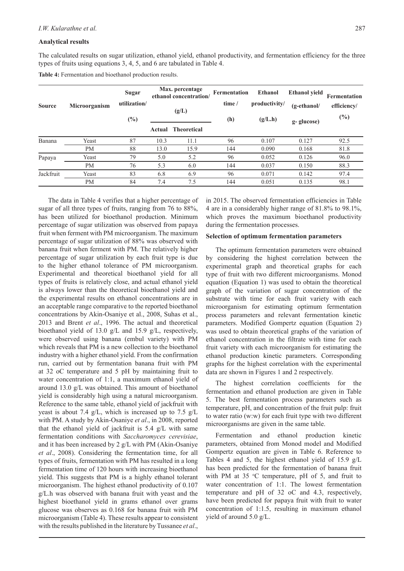### **Analytical results**

The calculated results on sugar utilization, ethanol yield, ethanol productivity, and fermentation efficiency for the three types of fruits using equations 3, 4, 5, and 6 are tabulated in Table 4.

**Table 4:** Fermentation and bioethanol production results.

| <b>Source</b> | Microorganism | <b>Sugar</b><br>utilization/<br>$(\%)$ | Max. percentage<br>ethanol concentration/<br>(g/L) |                    | <b>Fermentation</b><br>time /<br>(h) | Ethanol<br>productivity/<br>(g/L.h) | <b>Ethanol</b> yield<br>$(g-ethanol/$<br>g-glucose) | Fermentation<br>efficiency/<br>$(\%)$ |
|---------------|---------------|----------------------------------------|----------------------------------------------------|--------------------|--------------------------------------|-------------------------------------|-----------------------------------------------------|---------------------------------------|
|               |               |                                        | Actual                                             | <b>Theoretical</b> |                                      |                                     |                                                     |                                       |
| Banana        | Yeast         | 87                                     | 10.3                                               | 11.1               | 96                                   | 0.107                               | 0.127                                               | 92.5                                  |
|               | PM            | 88                                     | 13.0                                               | 15.9               | 144                                  | 0.090                               | 0.168                                               | 81.8                                  |
| Papaya        | Yeast         | 79                                     | 5.0                                                | 5.2                | 96                                   | 0.052                               | 0.126                                               | 96.0                                  |
|               | <b>PM</b>     | 76                                     | 5.3                                                | 6.0                | 144                                  | 0.037                               | 0.150                                               | 88.3                                  |
| Jackfruit     | Yeast         | 83                                     | 6.8                                                | 6.9                | 96                                   | 0.071                               | 0.142                                               | 97.4                                  |
|               | <b>PM</b>     | 84                                     | 7.4                                                | 7.5                | 144                                  | 0.051                               | 0.135                                               | 98.1                                  |

The data in Table 4 verifies that a higher percentage of sugar of all three types of fruits, ranging from 76 to 88%, has been utilized for bioethanol production. Minimum percentage of sugar utilization was observed from papaya fruit when ferment with PM microorganism. The maximum percentage of sugar utilization of 88% was observed with banana fruit when ferment with PM. The relatively higher percentage of sugar utilization by each fruit type is due to the higher ethanol tolerance of PM microorganism. Experimental and theoretical bioethanol yield for all types of fruits is relatively close, and actual ethanol yield is always lower than the theoretical bioethanol yield and the experimental results on ethanol concentrations are in an acceptable range comparative to the reported bioethanol concentrations by Akin-Osaniye et al., 2008, Suhas et al., 2013 and Brent *et al*., 1996. The actual and theoretical bioethanol yield of 13.0 g/L and 15.9 g/L, respectively, were observed using banana (embul variety) with PM which reveals that PM is a new collection to the bioethanol industry with a higher ethanol yield. From the confirmation run, carried out by fermentation banana fruit with PM at 32 oC temperature and 5 pH by maintaining fruit to water concentration of 1:1, a maximum ethanol yield of around 13.0 g/L was obtained. This amount of bioethanol yield is considerably high using a natural microorganism. Reference to the same table, ethanol yield of jackfruit with yeast is about 7.4 g/L, which is increased up to 7.5 g/L with PM. A study by Akin-Osaniye *et al*., in 2008, reported that the ethanol yield of jackfruit is 5.4 g/L with same fermentation conditions with *Saccharomyces cerevisiae*, and it has been increased by 2 g/L with PM (Akin-Osaniye *et al*., 2008). Considering the fermentation time, for all types of fruits, fermentation with PM has resulted in a long fermentation time of 120 hours with increasing bioethanol yield. This suggests that PM is a highly ethanol tolerant microorganism. The highest ethanol productivity of 0.107 g/L.h was observed with banana fruit with yeast and the highest bioethanol yield in grams ethanol over grams glucose was observes as 0.168 for banana fruit with PM microorganism (Table 4). These results appear to consistent with the results published in the literature by Tussanee *et al*.,

in 2015. The observed fermentation efficiencies in Table 4 are in a considerably higher range of 81.8% to 98.1%, which proves the maximum bioethanol productivity during the fermentation processes.

#### **Selection of optimum fermentation parameters**

The optimum fermentation parameters were obtained by considering the highest correlation between the experimental graph and theoretical graphs for each type of fruit with two different microorganisms. Monod equation (Equation 1) was used to obtain the theoretical graph of the variation of sugar concentration of the substrate with time for each fruit variety with each microorganism for estimating optimum fermentation process parameters and relevant fermentation kinetic parameters. Modified Gompertz equation (Equation 2) was used to obtain theoretical graphs of the variation of ethanol concentration in the filtrate with time for each fruit variety with each microorganism for estimating the ethanol production kinetic parameters. Corresponding graphs for the highest correlation with the experimental data are shown in Figures 1 and 2 respectively.

The highest correlation coefficients for the fermentation and ethanol production are given in Table 5. The best fermentation process parameters such as temperature, pH, and concentration of the fruit pulp: fruit to water ratio (w:w) for each fruit type with two different microorganisms are given in the same table.

Fermentation and ethanol production kinetic parameters, obtained from Monod model and Modified Gompertz equation are given in Table 6. Reference to Tables 4 and 5, the highest ethanol yield of 15.9 g/L has been predicted for the fermentation of banana fruit with PM at  $35$  °C temperature, pH of 5, and fruit to water concentration of 1:1. The lowest fermentation temperature and pH of 32 oC and 4.3, respectively, have been predicted for papaya fruit with fruit to water concentration of 1:1.5, resulting in maximum ethanol yield of around 5.0 g/L.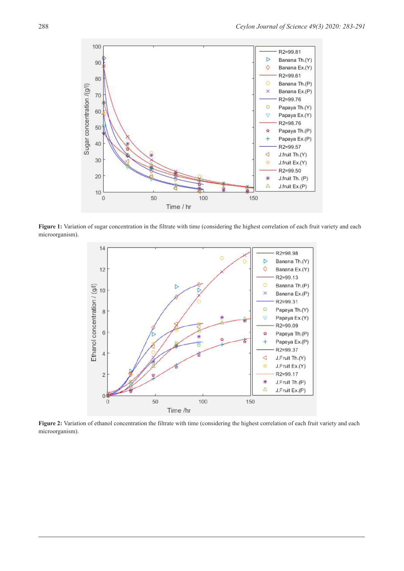

Figure 1: Variation of sugar concentration in the filtrate with time (considering the highest correlation of each fruit variety and each microorganism).



Figure 2: Variation of ethanol concentration the filtrate with time (considering the highest correlation of each fruit variety and each microorganism).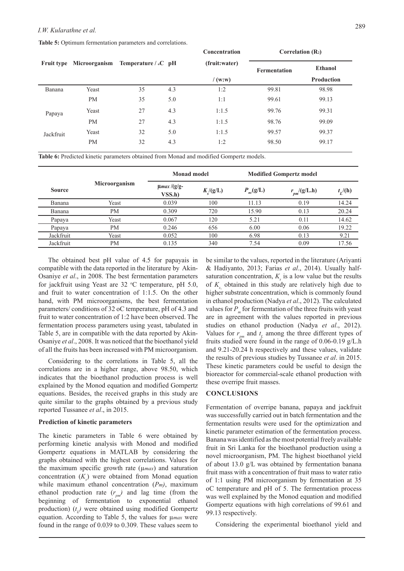**Table 5:** Optimum fermentation parameters and correlations.

|           |                                 |    |                                             | <b>Concentration</b> | COLLETATION (IN2) |                |  |
|-----------|---------------------------------|----|---------------------------------------------|----------------------|-------------------|----------------|--|
|           | <b>Fruit type</b> Microorganism |    | (fruit:water)<br>Temperature / $\circ$ C pH |                      | Fermentation      | <b>Ethanol</b> |  |
|           |                                 |    |                                             | /(w:w)               |                   | Production     |  |
| Banana    | Yeast                           | 35 | 4.3                                         | 1:2                  | 99.81             | 98.98          |  |
|           | <b>PM</b>                       | 35 | 5.0                                         | 1:1                  | 99.61             | 99.13          |  |
| Papaya    | Yeast                           | 27 | 4.3                                         | 1:1.5                | 99.76             | 99.31          |  |
|           | <b>PM</b>                       | 27 | 4.3                                         | 1:1.5                | 98.76             | 99.09          |  |
| Jackfruit | Yeast                           | 32 | 5.0                                         | 1:1.5                | 99.57             | 99.37          |  |
|           | PM                              | 32 | 4.3                                         | 1:2                  | 98.50             | 99.17          |  |
|           |                                 |    |                                             |                      |                   |                |  |

**Concentration Correlation (R2)**

**Table 6:** Predicted kinetic parameters obtained from Monad and modified Gompertz models.

|               |               | Monad model                |                   | <b>Modified Gompertz model</b> |                  |            |
|---------------|---------------|----------------------------|-------------------|--------------------------------|------------------|------------|
| <b>Source</b> | Microorganism | $\mu$ max /(g/g-<br>VSS.h) | $K_{\rm c}/(g/L)$ | $P_{m}(\text{g/L})$            | $r_{pm}/(g/L.h)$ | $t_I$ /(h) |
| Banana        | Yeast         | 0.039                      | 100               | 11.13                          | 0.19             | 14.24      |
| Banana        | <b>PM</b>     | 0.309                      | 720               | 15.90                          | 0.13             | 20.24      |
| Papaya        | Yeast         | 0.067                      | 120               | 5.21                           | 0.11             | 14.62      |
| Papaya        | <b>PM</b>     | 0.246                      | 656               | 6.00                           | 0.06             | 19.22      |
| Jackfruit     | Yeast         | 0.052                      | 100               | 6.98                           | 0.13             | 9.21       |
| Jackfruit     | <b>PM</b>     | 0.135                      | 340               | 7.54                           | 0.09             | 17.56      |

The obtained best pH value of 4.5 for papayais in compatible with the data reported in the literature by Akin-Osaniye *et al*., in 2008. The best fermentation parameters for jackfruit using Yeast are 32 °C temperature, pH 5.0, and fruit to water concentration of 1:1.5. On the other hand, with PM microorganisms, the best fermentation parameters/ conditions of 32 oC temperature, pH of 4.3 and fruit to water concentration of 1:2 have been observed. The fermentation process parameters using yeast, tabulated in Table 5, are in compatible with the data reported by Akin-Osaniye *et al*., 2008. It was noticed that the bioethanol yield of all the fruits has been increased with PM microorganism.

Considering to the correlations in Table 5, all the correlations are in a higher range, above 98.50, which indicates that the bioethanol production process is well explained by the Monod equation and modified Gompertz equations. Besides, the received graphs in this study are quite similar to the graphs obtained by a previous study reported Tussanee *et al*., in 2015.

## **Prediction of kinetic parameters**

The kinetic parameters in Table 6 were obtained by performing kinetic analysis with Monod and modified Gompertz equations in MATLAB by considering the graphs obtained with the highest correlations. Values for the maximum specific growth rate (µ*max*) and saturation concentration  $(K<sub>s</sub>)$  were obtained from Monad equation while maximum ethanol concentration (*Pm)*, maximum ethanol production rate  $(r_{\text{p}m})$  and lag time (from the beginning of fermentation to exponential ethanol production) ( $t_l$ ) were obtained using modified Gompertz equation. According to Table 5, the values for µ*max* were found in the range of 0.039 to 0.309. These values seem to

be similar to the values, reported in the literature (Ariyanti & Hadiyanto, 2013; Farias *et al*., 2014). Usually halfsaturation concentration,  $K<sub>s</sub>$  is a low value but the results of K<sub>s</sub> obtained in this study are relatively high due to higher substrate concentration, which is commonly found in ethanol production (Nadya *et al*., 2012). The calculated values for P<sub>m</sub> for fermentation of the three fruits with yeast are in agreement with the values reported in previous studies on ethanol production (Nadya *et al*., 2012). Values for  $r_{\text{max}}$  and  $t_{\text{L}}$  among the three different types of fruits studied were found in the range of 0.06-0.19 g/L.h and 9.21-20.24 h respectively and these values, validate the results of previous studies by Tussanee *et al*. in 2015. These kinetic parameters could be useful to design the bioreactor for commercial-scale ethanol production with these overripe fruit masses.

#### **CONCLUSIONS**

Fermentation of overripe banana, papaya and jackfruit was successfully carried out in batch fermentation and the fermentation results were used for the optimization and kinetic parameter estimation of the fermentation process. Banana was identified as the most potential freely available fruit in Sri Lanka for the bioethanol production using a novel microorganism, PM. The highest bioethanol yield of about 13.0 g/L was obtained by fermentation banana fruit mass with a concentration of fruit mass to water ratio of 1:1 using PM microorganism by fermentation at 35 oC temperature and pH of 5. The fermentation process was well explained by the Monod equation and modified Gompertz equations with high correlations of 99.61 and 99.13 respectively.

Considering the experimental bioethanol yield and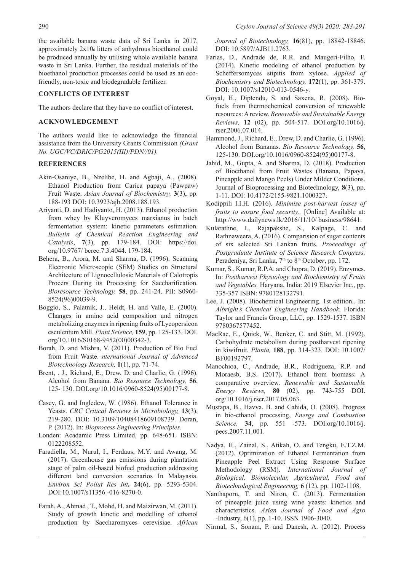the available banana waste data of Sri Lanka in 2017, approximately 2x106 litters of anhydrous bioethanol could be produced annually by utilising whole available banana waste in Sri Lanka. Further, the residual materials of the bioethanol production processes could be used as an ecofriendly, non-toxic and biodegradable fertilizer.

# **CONFLICTS OF INTEREST**

The authors declare that they have no conflict of interest.

# **ACKNOWLEDGEMENT**

The authors would like to acknowledge the financial assistance from the University Grants Commission *(Grant No. UGC/VC/DRIC/PG2015(III)/PDN//01).*

### **REFERENCES**

- Akin-Osaniye, B., Nzelibe, H. and Agbaji, A., (2008). Ethanol Production from Carica papaya (Pawpaw) Fruit Waste. *Asian Journal of Biochemistry,* **3**(3), pp. 188-193 DOI: 10.3923/ajb.2008.188.193.
- Ariyanti, D. and Hadiyanto, H. (2013). Ethanol production from whey by Kluyveromyces marxianus in batch fermentation system: kinetic parameters estimation. *Bulletin of Chemical Reaction Engineering and Catalysis*, **7**(3), pp. 179-184. DOI: https://doi. org/10.9767/ bcrec.7.3.4044. 179-184.
- Behera, B., Arora, M. and Sharma, D. (1996). Scanning Electronic Microscopic (SEM) Studies on Structural Architecture of Lignocellulosic Materials of Calotropis Procers During its Processing for Saccharification. *Bioresource Technology,* **58**, pp. 241-24. PII: S0960- 8524(96)00039-9.
- Boggio, S., Palatnik, J., Heldt, H. and Valle, E. (2000). Changes in amino acid composition and nitrogen metabolizing enzymes in ripening fruits of Lycopersicon esculentum Mill. *Plant Science,* **159**, pp. 125-133. DOI. org/10.1016/S0168-9452(00)00342-3.
- Borah, D. and Mishra, V. (2011). Production of Bio Fuel from Fruit Waste. *nternational Journal of Advanced Biotechnology Research,* **1**(1), pp. 71-74.
- Brent, . J., Richard, E., Drew, D. and Charlie, G. (1996). Alcohol from Banana. *Bio Resource Technology,* **56**, 125- 130. DOI.org/10.1016/0960-8524(95)00177-8.
- Casey, G. and Ingledew, W. (1986). Ethanol Tolerance in Yeasts. *CRC Critical Reviews in Microbiology,* **13**(3), 219-280. DOI: 10.3109/10408418609108739. Doran, P. (2012). In: *Bioprocess Engineering Principles.*
- Londen: Acadamic Press Limited, pp. 648-651. ISBN: 0122208552.
- Faradiella, M., Nurul, I., Ferdaus, M.Y. and Awang, M. (2017). Greenhouse gas emissions during plantation stage of palm oil-based biofuel production addressing different land conversion scenarios In Malayasia. *Environ Sci Pollut Res Int,* **24**(6), pp. 5293-5304. DOI:10.1007/s11356 -016-8270-0.
- Farah, A., Ahmad , T., Mohd, H. and Maizirwan, M. (2011). Study of growth kinetic and modelling of ethanol production by Saccharomyces cerevisiae. *African*

*Journal of Biotechnology,* **16**(81), pp. 18842-18846. DOI: 10.5897/AJB11.2763.

- Farias, D., Andrade de, R.R. and Maugeri-Filho, F. (2014). Kinetic modeling of ethanol production by Scheffersomyces stipitis from xylose. *Applied of Biochemistry and Biotechnology,* **172**(1), pp. 361-379. DOI: 10.1007/s12010-013-0546-y.
- Goyal, H., Diptendu, S. and Saxena, R. (2008). Biofuels from thermochemical conversion of renewable resources: A review. *Renewable and Sustainable Energy Reviews,* **12** (02), pp. 504-517. DOI.org/10.1016/j. rser.2006.07.014.
- Hammond, J., Richard, E., Drew, D. and Charlie, G. (1996). Alcohol from Bananas. *Bio Resource Technology,* **56**, 125-130. DOI.org/10.1016/0960-8524(95)00177-8.
- Jahid, M., Gupta, A. and Sharma, D. (2018). Production of Bioethanol from Fruit Wastes (Banana, Papaya, Pineapple and Mango Peels) Under Milder Conditions. Journal of Bioprocessing and Biotechnology, **8**(3), pp. 1-11. DOI: 10.4172/2155-9821.1000327.
- Kodippili I.I.H. (2016). *Minimise post-harvest losses of fruits to ensure food security,.* [Online] Available at: http://www.dailynews.lk/2016/11/10/ business/98641.
- Kularathne, I., Rajapakshe, S., Kalpage, C. and Rathnaweera, A. (2016). Comparision of sugar contents of six selected Sri Lankan fruits. *Proceedings of Postgraduate Institute of Science Research Congress,*  Peradeniya, Sri Lanka, 7<sup>th</sup> to 8<sup>th</sup> October, pp. 172.
- Kumar, S., Kumar, R.P.A. and Chopra, D. (2019). Enzymes. In: *Postharvest Physiology and Biochemistry of Fruits and Vegetables.* Haryana, India: 2019 Elsevier Inc., pp. 335-357 ISBN: 9780128132791.
- Lee, J. (2008). Biochemical Engineering. 1st edition.. In: *Albright's Chemical Engineering Handbook.* Florida: Taylor and Francis Group, LLC, pp. 1529-1537. ISBN 9780367577452.
- MacRae, E., Quick, W., Benker, C. and Stitt, M. (1992). Carbohydrate metabolism during postharvest ripening in kiwifruit. *Planta,* **188**, pp. 314-323. DOI: 10.1007/ BF00192797.
- Manochioa, C., Andrade, B.R., Rodrigueza, R.P. and Moraesb, B.S. (2017). Ethanol from biomass: A comparative overview. *Renewable and Sustainable Energy Reviews,* **80** (02), pp. 743-755 DOI. org/10.1016/j.rser.2017.05.063.
- Mustapa, B., Havva, B. and Cahida, O. (2008). Progress in bio-ethanol processing, *Energy and Combustion Science,* **34**, pp. 551 -573. DOI.org/10.1016/j. pecs.2007.11.001.
- Nadya, H., Zainal, S., Atikah, O. and Tengku, E.T.Z.M. (2012). Optimization of Ethanol Fermentation from Pineapple Peel Extract Using Response Surface Methodology (RSM). *International Journal of Biological, Biomolecular, Agricultural, Food and Biotechnological Engineering,* **6** (12), pp. 1102-1108.
- Nanthaporn, T. and Niron, C. (2013). Fermentation of pineapple juice using wine yeasts: kinetics and characteristics. *Asian Journal of Food and Agro -*Industry, 6(1), pp. 1-10. ISSN 1906-3040.

Nirmal, S., Sonam, P. and Danesh, A. (2012). Process